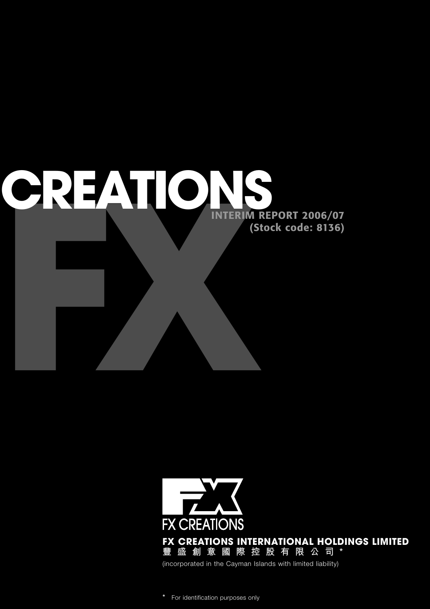

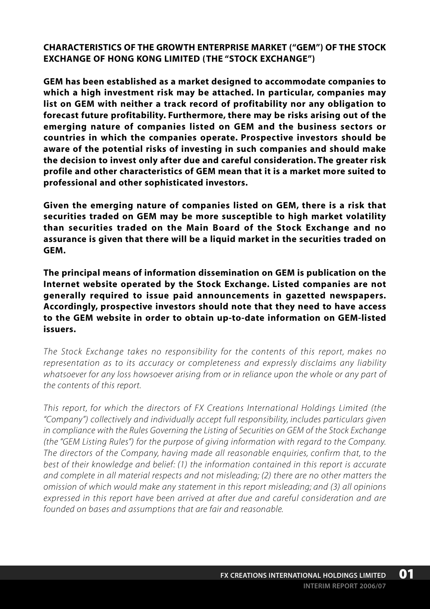**CHARACTERISTICS OF THE GROWTH ENTERPRISE MARKET ("GEM") OF THE STOCK EXCHANGE OF HONG KONG LIMITED (THE "STOCK EXCHANGE")**

**GEM has been established as a market designed to accommodate companies to which a high investment risk may be attached. In particular, companies may list on GEM with neither a track record of profitability nor any obligation to forecast future profitability. Furthermore, there may be risks arising out of the emerging nature of companies listed on GEM and the business sectors or countries in which the companies operate. Prospective investors should be aware of the potential risks of investing in such companies and should make the decision to invest only after due and careful consideration. The greater risk profile and other characteristics of GEM mean that it is a market more suited to professional and other sophisticated investors.**

**Given the emerging nature of companies listed on GEM, there is a risk that securities traded on GEM may be more susceptible to high market volatility than securities traded on the Main Board of the Stock Exchange and no assurance is given that there will be a liquid market in the securities traded on GEM.**

**The principal means of information dissemination on GEM is publication on the Internet website operated by the Stock Exchange. Listed companies are not generally required to issue paid announcements in gazetted newspapers. Accordingly, prospective investors should note that they need to have access to the GEM website in order to obtain up-to-date information on GEM-listed issuers.**

*The Stock Exchange takes no responsibility for the contents of this report, makes no representation as to its accuracy or completeness and expressly disclaims any liability whatsoever for any loss howsoever arising from or in reliance upon the whole or any part of the contents of this report.*

*This report, for which the directors of FX Creations International Holdings Limited (the "Company") collectively and individually accept full responsibility, includes particulars given in compliance with the Rules Governing the Listing of Securities on GEM of the Stock Exchange (the "GEM Listing Rules") for the purpose of giving information with regard to the Company. The directors of the Company, having made all reasonable enquiries, confirm that, to the best of their knowledge and belief: (1) the information contained in this report is accurate and complete in all material respects and not misleading; (2) there are no other matters the omission of which would make any statement in this report misleading; and (3) all opinions expressed in this report have been arrived at after due and careful consideration and are founded on bases and assumptions that are fair and reasonable.*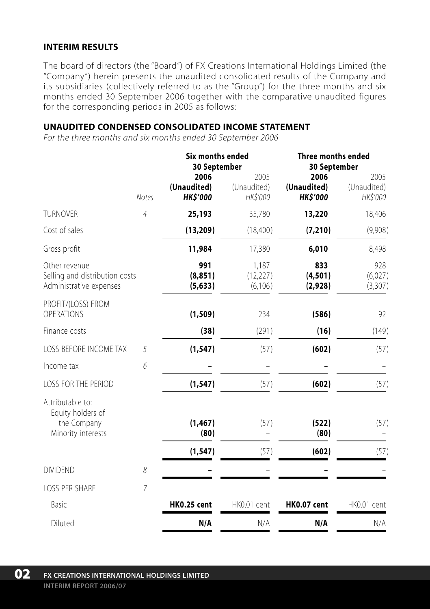### **INTERIM RESULTS**

The board of directors (the "Board") of FX Creations International Holdings Limited (the "Company") herein presents the unaudited consolidated results of the Company and its subsidiaries (collectively referred to as the "Group") for the three months and six months ended 30 September 2006 together with the comparative unaudited figures for the corresponding periods in 2005 as follows:

#### **UNAUDITED CONDENSED CONSOLIDATED INCOME STATEMENT**

*For the three months and six months ended 30 September 2006*

|                                                                            |                | <b>Six months ended</b><br>30 September |                                 | <b>Three months ended</b><br>30 September |                                 |
|----------------------------------------------------------------------------|----------------|-----------------------------------------|---------------------------------|-------------------------------------------|---------------------------------|
|                                                                            | <b>Notes</b>   | 2006<br>(Unaudited)<br><b>HK\$'000</b>  | 2005<br>(Unaudited)<br>HK\$'000 | 2006<br>(Unaudited)<br><b>HK\$'000</b>    | 2005<br>(Unaudited)<br>HK\$'000 |
| <b>TURNOVER</b>                                                            | $\overline{4}$ | 25,193                                  | 35,780                          | 13,220                                    | 18,406                          |
| Cost of sales                                                              |                | (13, 209)                               | (18,400)                        | (7, 210)                                  | (9,908)                         |
| Gross profit                                                               |                | 11,984                                  | 17,380                          | 6,010                                     | 8,498                           |
| Other revenue<br>Selling and distribution costs<br>Administrative expenses |                | 991<br>(8, 851)<br>(5,633)              | 1,187<br>(12, 227)<br>(6,106)   | 833<br>(4,501)<br>(2,928)                 | 928<br>(6,027)<br>(3,307)       |
| PROFIT/(LOSS) FROM<br>OPERATIONS                                           |                | (1, 509)                                | 234                             | (586)                                     | 92                              |
| Finance costs                                                              |                | (38)                                    | (291)                           | (16)                                      | (149)                           |
| LOSS BEFORE INCOME TAX                                                     | 5              | (1, 547)                                | (57)                            | (602)                                     | (57)                            |
| Income tax                                                                 | 6              |                                         |                                 |                                           |                                 |
| LOSS FOR THE PERIOD                                                        |                | (1, 547)                                | (57)                            | (602)                                     | (57)                            |
| Attributable to:<br>Equity holders of<br>the Company<br>Minority interests |                | (1, 467)<br>(80)                        | (57)                            | (522)<br>(80)                             | (57)                            |
|                                                                            |                | (1, 547)                                | (57)                            | (602)                                     | (57)                            |
| <b>DIVIDEND</b>                                                            | 8              |                                         |                                 |                                           |                                 |
| <b>LOSS PER SHARE</b>                                                      | $\overline{7}$ |                                         |                                 |                                           |                                 |
| Basic                                                                      |                | <b>HK0.25 cent</b>                      | HK0.01 cent                     | <b>HK0.07 cent</b>                        | HK0.01 cent                     |
| Diluted                                                                    |                | N/A                                     | N/A                             | N/A                                       | N/A                             |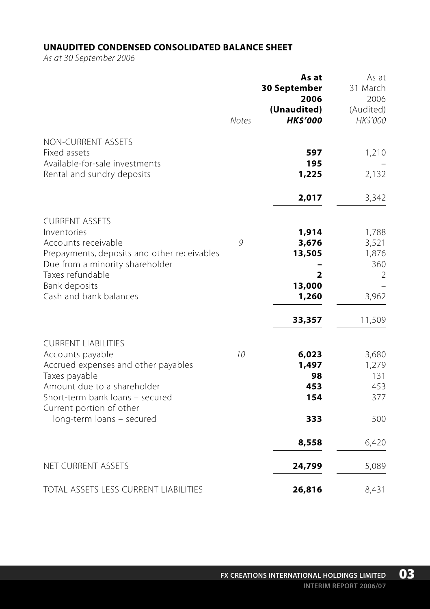## **UNAUDITED CONDENSED CONSOLIDATED BALANCE SHEET**

*As at 30 September 2006*

|                                                                                                                                                                                    | <b>Notes</b> | As at<br>30 September<br>2006<br>(Unaudited)<br><b>HKS'000</b> | As at<br>31 March<br>2006<br>(Audited)<br>HK\$'000 |
|------------------------------------------------------------------------------------------------------------------------------------------------------------------------------------|--------------|----------------------------------------------------------------|----------------------------------------------------|
| NON-CURRENT ASSETS<br>Fixed assets<br>Available-for-sale investments                                                                                                               |              | 597<br>195                                                     | 1,210                                              |
| Rental and sundry deposits                                                                                                                                                         |              | 1,225                                                          | 2,132                                              |
|                                                                                                                                                                                    |              | 2,017                                                          | 3,342                                              |
| <b>CURRENT ASSETS</b><br>Inventories<br>Accounts receivable<br>Prepayments, deposits and other receivables<br>Due from a minority shareholder<br>Taxes refundable<br>Bank deposits | 9            | 1,914<br>3,676<br>13,505<br>2<br>13,000                        | 1,788<br>3,521<br>1,876<br>360<br>$\overline{2}$   |
| Cash and bank balances                                                                                                                                                             |              | 1,260                                                          | 3,962                                              |
| <b>CURRENT LIABILITIES</b><br>Accounts payable<br>Accrued expenses and other payables                                                                                              | 10           | 33,357<br>6,023<br>1,497                                       | 11,509<br>3,680<br>1,279                           |
| Taxes payable                                                                                                                                                                      |              | 98                                                             | 131                                                |
| Amount due to a shareholder<br>Short-term bank loans - secured<br>Current portion of other                                                                                         |              | 453<br>154                                                     | 453<br>377                                         |
| long-term loans - secured                                                                                                                                                          |              | 333                                                            | 500                                                |
|                                                                                                                                                                                    |              | 8,558                                                          | 6,420                                              |
| NET CURRENT ASSETS                                                                                                                                                                 |              | 24,799                                                         | 5,089                                              |
| <b>TOTAL ASSETS LESS CURRENT LIABILITIES</b>                                                                                                                                       |              | 26,816                                                         | 8,431                                              |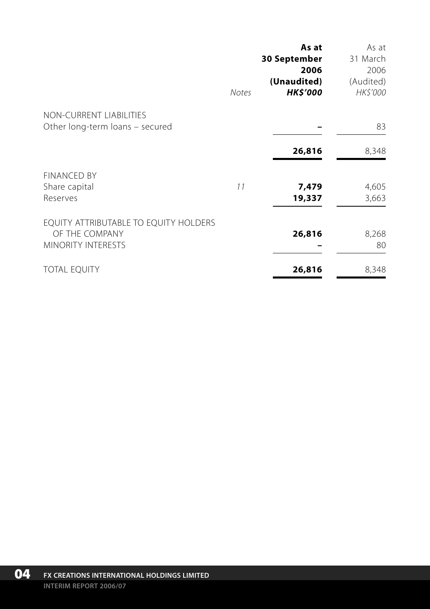|                                                                                      | <b>Notes</b> | As at<br><b>30 September</b><br>2006<br>(Unaudited)<br><b>HK\$'000</b> | As at<br>31 March<br>2006<br>(Audited)<br><b>HK\$'000</b> |
|--------------------------------------------------------------------------------------|--------------|------------------------------------------------------------------------|-----------------------------------------------------------|
| NON-CURRENT LIABILITIES<br>Other long-term loans - secured                           |              |                                                                        | 83                                                        |
|                                                                                      |              | 26,816                                                                 | 8,348                                                     |
| <b>FINANCED BY</b><br>Share capital<br>Reserves                                      | 11           | 7,479<br>19,337                                                        | 4,605<br>3,663                                            |
| EQUITY ATTRIBUTABLE TO EQUITY HOLDERS<br>OF THE COMPANY<br><b>MINORITY INTERESTS</b> |              | 26,816                                                                 | 8,268<br>80                                               |
| <b>TOTAL EQUITY</b>                                                                  |              | 26,816                                                                 | 8,348                                                     |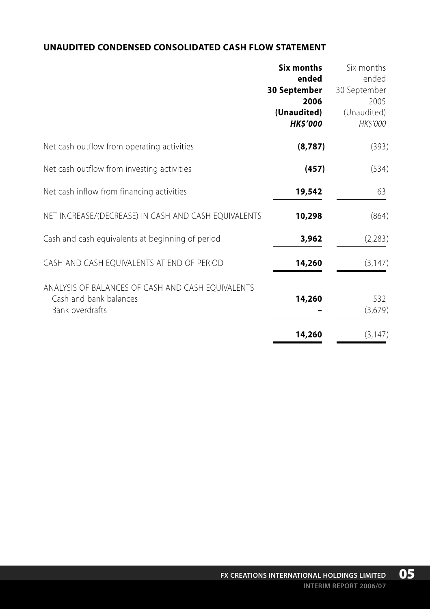## **UNAUDITED CONDENSED CONSOLIDATED CASH FLOW STATEMENT**

|                                                                                                | <b>Six months</b><br>ended                             | Six months<br>ended                             |
|------------------------------------------------------------------------------------------------|--------------------------------------------------------|-------------------------------------------------|
|                                                                                                | 30 September<br>2006<br>(Unaudited)<br><b>HK\$'000</b> | 30 September<br>2005<br>(Unaudited)<br>HK\$'000 |
| Net cash outflow from operating activities                                                     | (8, 787)                                               | (393)                                           |
| Net cash outflow from investing activities                                                     | (457)                                                  | (534)                                           |
| Net cash inflow from financing activities                                                      | 19,542                                                 | 63                                              |
| NET INCREASE/(DECREASE) IN CASH AND CASH EQUIVALENTS                                           | 10,298                                                 | (864)                                           |
| Cash and cash equivalents at beginning of period                                               | 3,962                                                  | (2,283)                                         |
| CASH AND CASH EQUIVALENTS AT END OF PERIOD                                                     | 14,260                                                 | (3, 147)                                        |
| ANALYSIS OF BALANCES OF CASH AND CASH EQUIVALENTS<br>Cash and bank balances<br>Bank overdrafts | 14,260                                                 | 532<br>(3,679)                                  |
|                                                                                                | 14,260                                                 | (3, 147)                                        |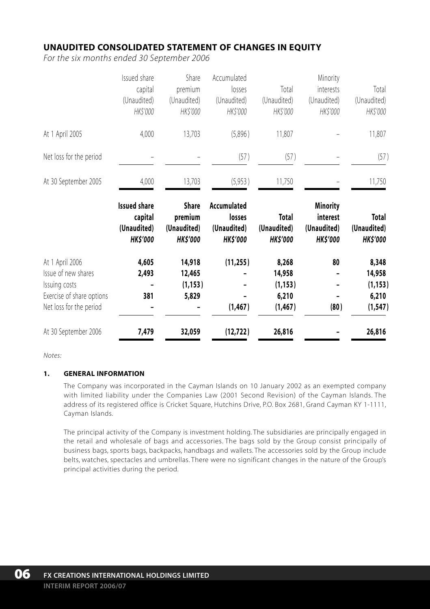## **UNAUDITED CONSOLIDATED STATEMENT OF CHANGES IN EQUITY**

*For the six months ended 30 September 2006*

|                                                                                                                 | Issued share<br>capital<br>(Unaudited)<br>HK\$'000               | Share<br>premium<br>(Unaudited)<br>HK\$'000               | Accumulated<br>losses<br>(Unaudited)<br>HK\$'000        | Total<br>(Unaudited)<br>HK\$'000                 | Minority<br>interests<br>(Unaudited)<br>HK\$'000              | Total<br>(Unaudited)<br>HK\$'000                 |
|-----------------------------------------------------------------------------------------------------------------|------------------------------------------------------------------|-----------------------------------------------------------|---------------------------------------------------------|--------------------------------------------------|---------------------------------------------------------------|--------------------------------------------------|
| At 1 April 2005                                                                                                 | 4,000                                                            | 13,703                                                    | (5,896)                                                 | 11,807                                           |                                                               | 11,807                                           |
| Net loss for the period                                                                                         |                                                                  |                                                           | (57)                                                    | (57)                                             |                                                               | (57)                                             |
| At 30 September 2005                                                                                            | 4,000                                                            | 13,703                                                    | (5,953)                                                 | 11,750                                           |                                                               | 11,750                                           |
|                                                                                                                 | <b>Issued share</b><br>capital<br>(Unaudited)<br><b>HK\$'000</b> | <b>Share</b><br>premium<br>(Unaudited)<br><b>HK\$'000</b> | Accumulated<br>losses<br>(Unaudited)<br><b>HK\$'000</b> | <b>Total</b><br>(Unaudited)<br><b>HK\$'000</b>   | <b>Minority</b><br>interest<br>(Unaudited)<br><b>HK\$'000</b> | <b>Total</b><br>(Unaudited)<br><b>HK\$'000</b>   |
| At 1 April 2006<br>Issue of new shares<br>Issuing costs<br>Exercise of share options<br>Net loss for the period | 4,605<br>2,493<br>381                                            | 14,918<br>12,465<br>(1, 153)<br>5,829                     | (11, 255)<br>(1, 467)                                   | 8,268<br>14,958<br>(1, 153)<br>6,210<br>(1, 467) | 80<br>(80)                                                    | 8,348<br>14,958<br>(1, 153)<br>6,210<br>(1, 547) |
| At 30 September 2006                                                                                            | 7,479                                                            | 32,059                                                    | (12, 722)                                               | 26,816                                           |                                                               | 26,816                                           |

*Notes:*

#### **1. GENERAL INFORMATION**

The Company was incorporated in the Cayman Islands on 10 January 2002 as an exempted company with limited liability under the Companies Law (2001 Second Revision) of the Cayman Islands. The address of its registered office is Cricket Square, Hutchins Drive, P.O. Box 2681, Grand Cayman KY 1-1111, Cayman Islands.

The principal activity of the Company is investment holding. The subsidiaries are principally engaged in the retail and wholesale of bags and accessories. The bags sold by the Group consist principally of business bags, sports bags, backpacks, handbags and wallets. The accessories sold by the Group include belts, watches, spectacles and umbrellas. There were no significant changes in the nature of the Group's principal activities during the period.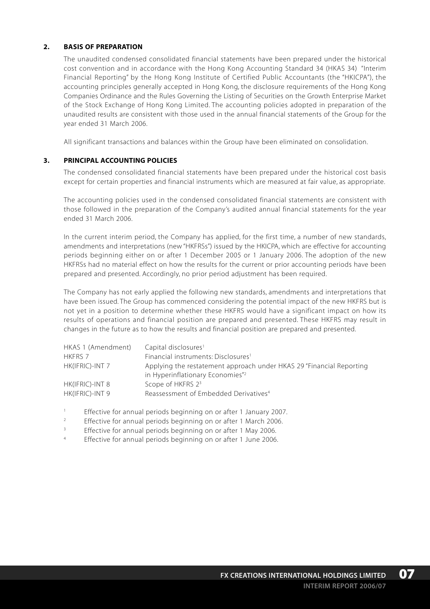#### **2. BASIS OF PREPARATION**

The unaudited condensed consolidated financial statements have been prepared under the historical cost convention and in accordance with the Hong Kong Accounting Standard 34 (HKAS 34) "Interim Financial Reporting" by the Hong Kong Institute of Certified Public Accountants (the "HKICPA"), the accounting principles generally accepted in Hong Kong, the disclosure requirements of the Hong Kong Companies Ordinance and the Rules Governing the Listing of Securities on the Growth Enterprise Market of the Stock Exchange of Hong Kong Limited. The accounting policies adopted in preparation of the unaudited results are consistent with those used in the annual financial statements of the Group for the year ended 31 March 2006.

All significant transactions and balances within the Group have been eliminated on consolidation.

#### **3. PRINCIPAL ACCOUNTING POLICIES**

The condensed consolidated financial statements have been prepared under the historical cost basis except for certain properties and financial instruments which are measured at fair value, as appropriate.

The accounting policies used in the condensed consolidated financial statements are consistent with those followed in the preparation of the Company's audited annual financial statements for the year ended 31 March 2006.

In the current interim period, the Company has applied, for the first time, a number of new standards, amendments and interpretations (new "HKFRSs") issued by the HKICPA, which are effective for accounting periods beginning either on or after 1 December 2005 or 1 January 2006. The adoption of the new HKFRSs had no material effect on how the results for the current or prior accounting periods have been prepared and presented. Accordingly, no prior period adjustment has been required.

The Company has not early applied the following new standards, amendments and interpretations that have been issued. The Group has commenced considering the potential impact of the new HKFRS but is not yet in a position to determine whether these HKFRS would have a significant impact on how its results of operations and financial position are prepared and presented. These HKFRS may result in changes in the future as to how the results and financial position are prepared and presented.

| HKAS 1 (Amendment) | Capital disclosures <sup>1</sup>                                                                                     |
|--------------------|----------------------------------------------------------------------------------------------------------------------|
| <b>HKFRS 7</b>     | Financial instruments: Disclosures <sup>1</sup>                                                                      |
| HK(IFRIC)-INT 7    | Applying the restatement approach under HKAS 29 "Financial Reporting<br>in Hyperinflationary Economies" <sup>2</sup> |
| HK(IFRIC)-INT 8    | Scope of HKFRS 2 <sup>3</sup>                                                                                        |
| HK(IFRIC)-INT 9    | Reassessment of Embedded Derivatives <sup>4</sup>                                                                    |

<sup>1</sup> Effective for annual periods beginning on or after 1 January 2007.

- <sup>2</sup> Effective for annual periods beginning on or after 1 March 2006.<br> **Effective for annual periods beginning on or after 1 May 2006.**
- Effective for annual periods beginning on or after 1 May 2006.
- <sup>4</sup> Effective for annual periods beginning on or after 1 June 2006.

**07**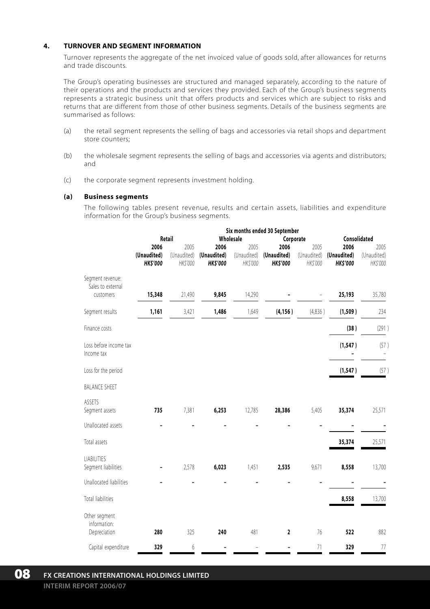#### **4. TURNOVER AND SEGMENT INFORMATION**

Turnover represents the aggregate of the net invoiced value of goods sold, after allowances for returns and trade discounts.

The Group's operating businesses are structured and managed separately, according to the nature of their operations and the products and services they provided. Each of the Group's business segments represents a strategic business unit that offers products and services which are subject to risks and returns that are different from those of other business segments. Details of the business segments are summarised as follows:

- (a) the retail segment represents the selling of bags and accessories via retail shops and department store counters;
- (b) the wholesale segment represents the selling of bags and accessories via agents and distributors; and
- (c) the corporate segment represents investment holding.

#### **(a) Business segments**

The following tables present revenue, results and certain assets, liabilities and expenditure information for the Group's business segments.

|                                                    | Six months ended 30 September         |                                 |                                       |                                 |                                       |                                 |                                       |                                 |  |
|----------------------------------------------------|---------------------------------------|---------------------------------|---------------------------------------|---------------------------------|---------------------------------------|---------------------------------|---------------------------------------|---------------------------------|--|
|                                                    | Retail                                |                                 | Wholesale<br>Corporate                |                                 |                                       |                                 | Consolidated                          |                                 |  |
|                                                    | 2006<br>(Unaudited)<br><b>HKS'000</b> | 2005<br>(Unaudited)<br>HK\$'000 | 2006<br>(Unaudited)<br><b>HKS'000</b> | 2005<br>(Unaudited)<br>HK\$'000 | 2006<br>(Unaudited)<br><b>HKS'000</b> | 2005<br>(Unaudited)<br>HK\$'000 | 2006<br>(Unaudited)<br><b>HKS'000</b> | 2005<br>(Unaudited)<br>HK\$'000 |  |
| Segment revenue:<br>Sales to external<br>customers | 15,348                                | 21,490                          | 9,845                                 | 14,290                          |                                       |                                 | 25,193                                | 35,780                          |  |
| Segment results                                    | 1,161                                 | 3,421                           | 1,486                                 | 1,649                           | (4, 156)                              | (4,836)                         | (1,509)                               | 234                             |  |
| Finance costs                                      |                                       |                                 |                                       |                                 |                                       |                                 | (38)                                  | (291)                           |  |
| Loss before income tax<br>Income tax               |                                       |                                 |                                       |                                 |                                       |                                 | (1, 547)                              | (57)                            |  |
| Loss for the period                                |                                       |                                 |                                       |                                 |                                       |                                 | (1, 547)                              | (57)                            |  |
| <b>BALANCE SHEET</b>                               |                                       |                                 |                                       |                                 |                                       |                                 |                                       |                                 |  |
| ASSETS<br>Segment assets                           | 735                                   | 7,381                           | 6,253                                 | 12,785                          | 28,386                                | 5,405                           | 35,374                                | 25,571                          |  |
| Unallocated assets                                 |                                       |                                 |                                       |                                 |                                       |                                 |                                       |                                 |  |
| Total assets                                       |                                       |                                 |                                       |                                 |                                       |                                 | 35,374                                | 25,571                          |  |
| LIABILITIES<br>Segment liabilities                 |                                       | 2,578                           | 6,023                                 | 1,451                           | 2,535                                 | 9,671                           | 8,558                                 | 13,700                          |  |
| Unallocated liabilities                            |                                       |                                 |                                       |                                 |                                       |                                 |                                       |                                 |  |
| <b>Total liabilities</b>                           |                                       |                                 |                                       |                                 |                                       |                                 | 8,558                                 | 13,700                          |  |
| Other segment<br>information:<br>Depreciation      | 280                                   | 325                             | 240                                   | 481                             | 2                                     | 76                              | 522                                   | 882                             |  |
| Capital expenditure                                | 329                                   | 6                               |                                       |                                 |                                       | 71                              | 329                                   | 77                              |  |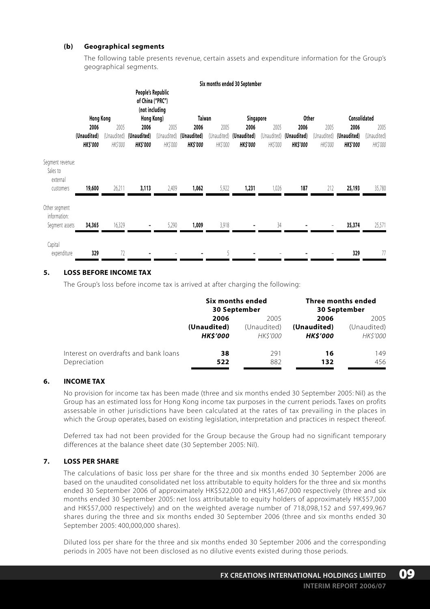#### **(b) Geographical segments**

The following table presents revenue, certain assets and expenditure information for the Group's geographical segments.

|                                                       |                                        |                                 |                                                                       |                  |                                                    |                  | Six months ended 30 September                      |                                 |                                       |                 |                                                    |                                 |
|-------------------------------------------------------|----------------------------------------|---------------------------------|-----------------------------------------------------------------------|------------------|----------------------------------------------------|------------------|----------------------------------------------------|---------------------------------|---------------------------------------|-----------------|----------------------------------------------------|---------------------------------|
|                                                       | <b>Hong Kong</b>                       |                                 | People's Republic<br>of China ("PRC")<br>(not including<br>Hong Kong) |                  | Taiwan                                             |                  | Singapore                                          |                                 | <b>Other</b>                          |                 | Consolidated                                       |                                 |
|                                                       | 2006<br>(Unaudited)<br><b>HK\$'000</b> | 2005<br>(Unaudited)<br>HK\$'000 | 2006<br>(Unaudited)<br><b>HKS'000</b>                                 | 2005<br>HK\$'000 | 2006<br>(Unaudited) (Unaudited)<br><b>HK\$'000</b> | 2005<br>HK\$'000 | 2006<br>(Unaudited) (Unaudited)<br><b>HK\$'000</b> | 2005<br>(Unaudited)<br>HK\$'000 | 2006<br>(Unaudited)<br><b>HKS'000</b> | 2005<br>HKS'000 | 2006<br>(Unaudited) (Unaudited)<br><b>HK\$'000</b> | 2005<br>(Unaudited)<br>HK\$'000 |
| Segment revenue:<br>Sales to<br>external<br>customers | 19,600                                 | 26,211                          | 3,113                                                                 | 2,409            | 1,062                                              | 5,922            | 1,231                                              | 1,026                           | 187                                   | 212             | 25,193                                             | 35,780                          |
| Other segment<br>information:<br>Segment assets       | 34,365                                 | 16,329                          |                                                                       | 5,290            | 1,009                                              | 3,918            |                                                    | 34                              |                                       |                 | 35,374                                             | 25,571                          |
| Capital<br>expenditure                                | 329                                    | 72                              |                                                                       |                  |                                                    | 5                |                                                    |                                 |                                       |                 | 329                                                | 77                              |

#### **5. LOSS BEFORE INCOME TAX**

The Group's loss before income tax is arrived at after charging the following:

|                                       | Six months ended<br>30 September |                | Three months ended<br>30 September |                |
|---------------------------------------|----------------------------------|----------------|------------------------------------|----------------|
|                                       | 2006                             | 2005           | 2006                               | 2005           |
|                                       | (Unaudited)                      | (Unaudited)    | (Unaudited)                        | (Unaudited)    |
|                                       | <b>HKS'000</b>                   | <b>HKS'000</b> | <b>HKS'000</b>                     | <b>HKS'000</b> |
| Interest on overdrafts and bank loans | 38                               | 291            | 16                                 | 149            |
| Depreciation                          | 522                              | 882            | 132                                | 456            |

### **6. INCOME TAX**

No provision for income tax has been made (three and six months ended 30 September 2005: Nil) as the Group has an estimated loss for Hong Kong income tax purposes in the current periods. Taxes on profits assessable in other jurisdictions have been calculated at the rates of tax prevailing in the places in which the Group operates, based on existing legislation, interpretation and practices in respect thereof.

Deferred tax had not been provided for the Group because the Group had no significant temporary differences at the balance sheet date (30 September 2005: Nil).

#### **7. LOSS PER SHARE**

The calculations of basic loss per share for the three and six months ended 30 September 2006 are based on the unaudited consolidated net loss attributable to equity holders for the three and six months ended 30 September 2006 of approximately HK\$522,000 and HK\$1,467,000 respectively (three and six months ended 30 September 2005: net loss attributable to equity holders of approximately HK\$57,000 and HK\$57,000 respectively) and on the weighted average number of 718,098,152 and 597,499,967 shares during the three and six months ended 30 September 2006 (three and six months ended 30 September 2005: 400,000,000 shares).

Diluted loss per share for the three and six months ended 30 September 2006 and the corresponding periods in 2005 have not been disclosed as no dilutive events existed during those periods.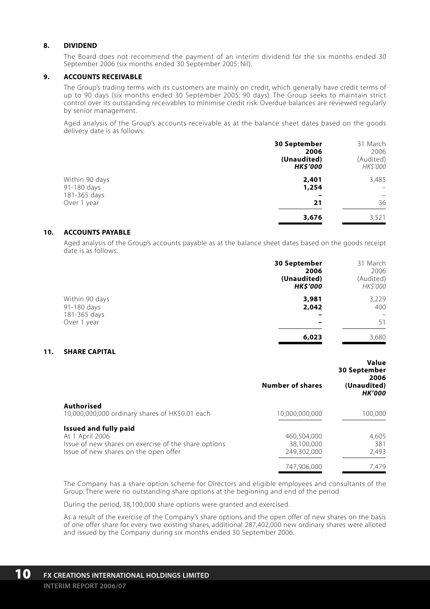#### **8. DIVIDEND**

The Board does not recommend the payment of an interim dividend for the six months ended 30 September 2006 (six months ended 30 September 2005: Nil).

#### **9. ACCOUNTS RECEIVABLE**

The Group's trading terms with its customers are mainly on credit, which generally have credit terms of up to 90 days (six months ended 30 September 2005: 90 days). The Group seeks to maintain strict control over its outstanding receivables to minimise credit risk. Overdue balances are reviewed regularly by senior management.

Aged analysis of the Group's accounts receivable as at the balance sheet dates based on the goods delivery date is as follows:

|                | 30 September    | 31 March        |
|----------------|-----------------|-----------------|
|                | 2006            | 2006            |
|                | (Unaudited)     | (Audited)       |
|                | <b>HK\$'000</b> | <b>HK\$'000</b> |
| Within 90 days | 2,401           | 3,485           |
| 91-180 days    | 1,254           | -               |
| 181-365 days   |                 |                 |
| Over 1 year    | 21              | 36              |
|                | 3,676           | 3,521           |

#### **10. ACCOUNTS PAYABLE**

Aged analysis of the Group's accounts payable as at the balance sheet dates based on the goods receipt date is as follows:

|                               | 30 September<br>2006<br>(Unaudited)<br><b>HK\$'000</b> | 31 March<br>2006<br>(Audited)<br><b>HK\$'000</b> |
|-------------------------------|--------------------------------------------------------|--------------------------------------------------|
| Within 90 days<br>91-180 days | 3,981<br>2,042                                         | 3,229<br>400                                     |
| 181-365 days<br>Over 1 year   | $\overline{\phantom{0}}$                               | -<br>51                                          |
|                               | 6,023                                                  | 3.680                                            |

**Value**

#### **11. SHARE CAPITAL**

|                                                                                                                                           | <b>Number of shares</b>                  | value<br>30 September<br>2006<br>(Unaudited)<br><b>HK'000</b> |
|-------------------------------------------------------------------------------------------------------------------------------------------|------------------------------------------|---------------------------------------------------------------|
| <b>Authorised</b><br>10,000,000,000 ordinary shares of HK\$0.01 each                                                                      | 10,000,000,000                           | 100,000                                                       |
| Issued and fully paid<br>At 1 April 2006<br>Issue of new shares on exercise of the share options<br>Issue of new shares on the open offer | 460.504.000<br>38,100,000<br>249,302,000 | 4,605<br>381<br>2.493                                         |
|                                                                                                                                           | 747.906.000                              | 7.479                                                         |

The Company has a share option scheme for Directors and eligible employees and consultants of the Group. There were no outstanding share options at the beginning and end of the period.

During the period, 38,100,000 share options were granted and exercised.

As a result of the exercise of the Company's share options and the open offer of new shares on the basis of one offer share for every two existing shares, additional 287,402,000 new ordinary shares were alloted and issued by the Company during six months ended 30 September 2006.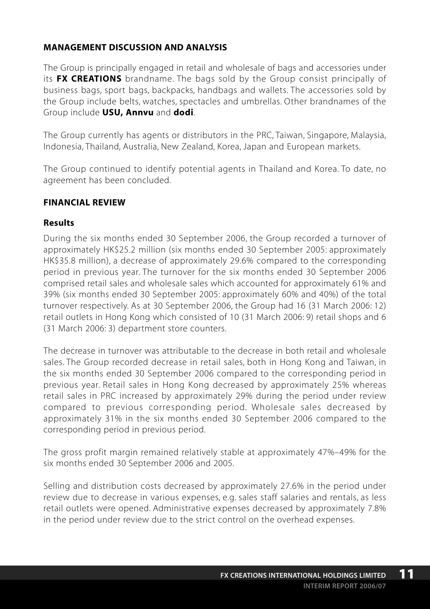# **MANAGEMENT DISCUSSION AND ANALYSIS**

The Group is principally engaged in retail and wholesale of bags and accessories under its **FX CREATIONS** brandname. The bags sold by the Group consist principally of business bags, sport bags, backpacks, handbags and wallets. The accessories sold by the Group include belts, watches, spectacles and umbrellas. Other brandnames of the Group include **USU, Annvu** and **dodi**.

The Group currently has agents or distributors in the PRC, Taiwan, Singapore, Malaysia, Indonesia, Thailand, Australia, New Zealand, Korea, Japan and European markets.

The Group continued to identify potential agents in Thailand and Korea. To date, no agreement has been concluded.

## **FINANCIAL REVIEW**

## **Results**

During the six months ended 30 September 2006, the Group recorded a turnover of approximately HK\$25.2 million (six months ended 30 September 2005: approximately HK\$35.8 million), a decrease of approximately 29.6% compared to the corresponding period in previous year. The turnover for the six months ended 30 September 2006 comprised retail sales and wholesale sales which accounted for approximately 61% and 39% (six months ended 30 September 2005: approximately 60% and 40%) of the total turnover respectively. As at 30 September 2006, the Group had 16 (31 March 2006: 12) retail outlets in Hong Kong which consisted of 10 (31 March 2006: 9) retail shops and 6 (31 March 2006: 3) department store counters.

The decrease in turnover was attributable to the decrease in both retail and wholesale sales. The Group recorded decrease in retail sales, both in Hong Kong and Taiwan, in the six months ended 30 September 2006 compared to the corresponding period in previous year. Retail sales in Hong Kong decreased by approximately 25% whereas retail sales in PRC increased by approximately 29% during the period under review compared to previous corresponding period. Wholesale sales decreased by approximately 31% in the six months ended 30 September 2006 compared to the corresponding period in previous period.

The gross profit margin remained relatively stable at approximately 47%–49% for the six months ended 30 September 2006 and 2005.

Selling and distribution costs decreased by approximately 27.6% in the period under review due to decrease in various expenses, e.g. sales staff salaries and rentals, as less retail outlets were opened. Administrative expenses decreased by approximately 7.8% in the period under review due to the strict control on the overhead expenses.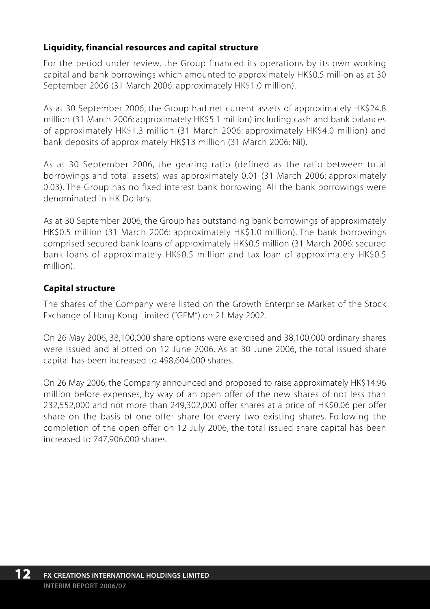# **Liquidity, financial resources and capital structure**

For the period under review, the Group financed its operations by its own working capital and bank borrowings which amounted to approximately HK\$0.5 million as at 30 September 2006 (31 March 2006: approximately HK\$1.0 million).

As at 30 September 2006, the Group had net current assets of approximately HK\$24.8 million (31 March 2006: approximately HK\$5.1 million) including cash and bank balances of approximately HK\$1.3 million (31 March 2006: approximately HK\$4.0 million) and bank deposits of approximately HK\$13 million (31 March 2006: Nil).

As at 30 September 2006, the gearing ratio (defined as the ratio between total borrowings and total assets) was approximately 0.01 (31 March 2006: approximately 0.03). The Group has no fixed interest bank borrowing. All the bank borrowings were denominated in HK Dollars.

As at 30 September 2006, the Group has outstanding bank borrowings of approximately HK\$0.5 million (31 March 2006: approximately HK\$1.0 million). The bank borrowings comprised secured bank loans of approximately HK\$0.5 million (31 March 2006: secured bank loans of approximately HK\$0.5 million and tax loan of approximately HK\$0.5 million).

# **Capital structure**

The shares of the Company were listed on the Growth Enterprise Market of the Stock Exchange of Hong Kong Limited ("GEM") on 21 May 2002.

On 26 May 2006, 38,100,000 share options were exercised and 38,100,000 ordinary shares were issued and allotted on 12 June 2006. As at 30 June 2006, the total issued share capital has been increased to 498,604,000 shares.

On 26 May 2006, the Company announced and proposed to raise approximately HK\$14.96 million before expenses, by way of an open offer of the new shares of not less than 232,552,000 and not more than 249,302,000 offer shares at a price of HK\$0.06 per offer share on the basis of one offer share for every two existing shares. Following the completion of the open offer on 12 July 2006, the total issued share capital has been increased to 747,906,000 shares.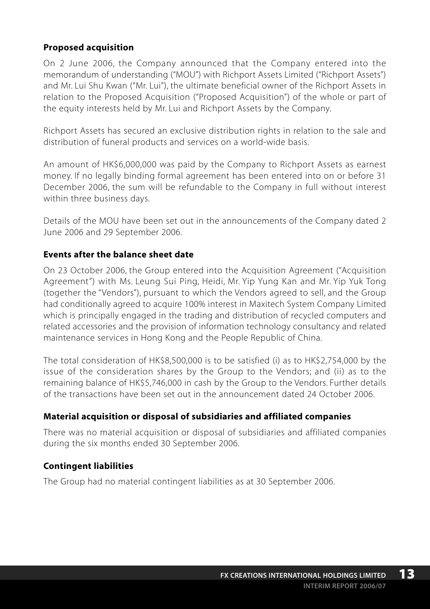# **Proposed acquisition**

On 2 June 2006, the Company announced that the Company entered into the memorandum of understanding ("MOU") with Richport Assets Limited ("Richport Assets") and Mr. Lui Shu Kwan ("Mr. Lui"), the ultimate beneficial owner of the Richport Assets in relation to the Proposed Acquisition ("Proposed Acquisition") of the whole or part of the equity interests held by Mr. Lui and Richport Assets by the Company.

Richport Assets has secured an exclusive distribution rights in relation to the sale and distribution of funeral products and services on a world-wide basis.

An amount of HK\$6,000,000 was paid by the Company to Richport Assets as earnest money. If no legally binding formal agreement has been entered into on or before 31 December 2006, the sum will be refundable to the Company in full without interest within three business days.

Details of the MOU have been set out in the announcements of the Company dated 2 June 2006 and 29 September 2006.

## **Events after the balance sheet date**

On 23 October 2006, the Group entered into the Acquisition Agreement ("Acquisition Agreement") with Ms. Leung Sui Ping, Heidi, Mr. Yip Yung Kan and Mr. Yip Yuk Tong (together the "Vendors"), pursuant to which the Vendors agreed to sell, and the Group had conditionally agreed to acquire 100% interest in Maxitech System Company Limited which is principally engaged in the trading and distribution of recycled computers and related accessories and the provision of information technology consultancy and related maintenance services in Hong Kong and the People Republic of China.

The total consideration of HK\$8,500,000 is to be satisfied (i) as to HK\$2,754,000 by the issue of the consideration shares by the Group to the Vendors; and (ii) as to the remaining balance of HK\$5,746,000 in cash by the Group to the Vendors. Further details of the transactions have been set out in the announcement dated 24 October 2006.

## **Material acquisition or disposal of subsidiaries and affiliated companies**

There was no material acquisition or disposal of subsidiaries and affiliated companies during the six months ended 30 September 2006.

# **Contingent liabilities**

The Group had no material contingent liabilities as at 30 September 2006.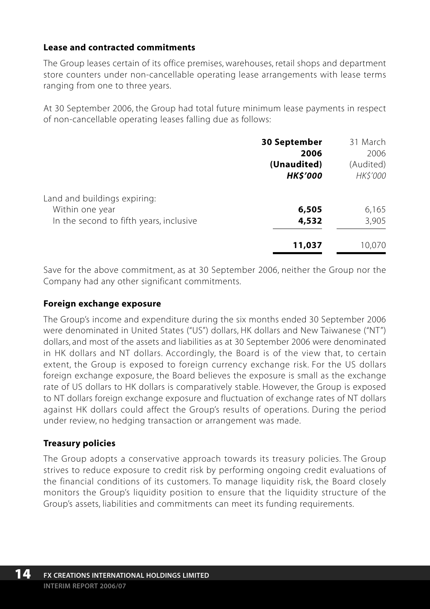## **Lease and contracted commitments**

The Group leases certain of its office premises, warehouses, retail shops and department store counters under non-cancellable operating lease arrangements with lease terms ranging from one to three years.

At 30 September 2006, the Group had total future minimum lease payments in respect of non-cancellable operating leases falling due as follows:

|                                                 | <b>30 September</b>            | 31 March                    |
|-------------------------------------------------|--------------------------------|-----------------------------|
|                                                 | 2006                           | 2006                        |
|                                                 | (Unaudited)<br><b>HK\$'000</b> | (Audited)<br><b>HKS'000</b> |
| Land and buildings expiring:<br>Within one year | 6,505                          | 6,165                       |
| In the second to fifth years, inclusive         | 4,532                          | 3,905                       |
|                                                 | 11,037                         | 10.070                      |

Save for the above commitment, as at 30 September 2006, neither the Group nor the Company had any other significant commitments.

## **Foreign exchange exposure**

The Group's income and expenditure during the six months ended 30 September 2006 were denominated in United States ("US") dollars, HK dollars and New Taiwanese ("NT") dollars, and most of the assets and liabilities as at 30 September 2006 were denominated in HK dollars and NT dollars. Accordingly, the Board is of the view that, to certain extent, the Group is exposed to foreign currency exchange risk. For the US dollars foreign exchange exposure, the Board believes the exposure is small as the exchange rate of US dollars to HK dollars is comparatively stable. However, the Group is exposed to NT dollars foreign exchange exposure and fluctuation of exchange rates of NT dollars against HK dollars could affect the Group's results of operations. During the period under review, no hedging transaction or arrangement was made.

# **Treasury policies**

The Group adopts a conservative approach towards its treasury policies. The Group strives to reduce exposure to credit risk by performing ongoing credit evaluations of the financial conditions of its customers. To manage liquidity risk, the Board closely monitors the Group's liquidity position to ensure that the liquidity structure of the Group's assets, liabilities and commitments can meet its funding requirements.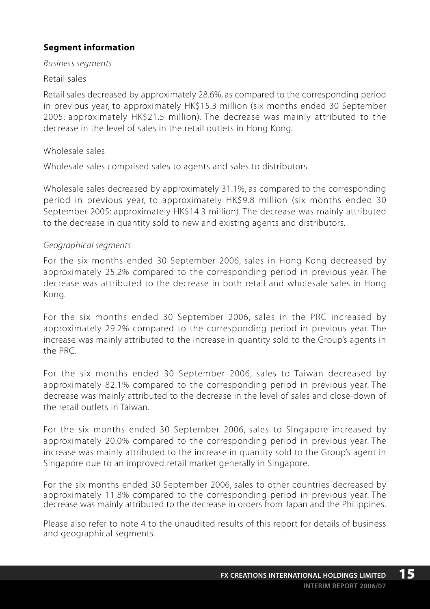# **Segment information**

### *Business segments*

### Retail sales

Retail sales decreased by approximately 28.6%, as compared to the corresponding period in previous year, to approximately HK\$15.3 million (six months ended 30 September 2005: approximately HK\$21.5 million). The decrease was mainly attributed to the decrease in the level of sales in the retail outlets in Hong Kong.

### Wholesale sales

Wholesale sales comprised sales to agents and sales to distributors.

Wholesale sales decreased by approximately 31.1%, as compared to the corresponding period in previous year, to approximately HK\$9.8 million (six months ended 30 September 2005: approximately HK\$14.3 million). The decrease was mainly attributed to the decrease in quantity sold to new and existing agents and distributors.

### *Geographical segments*

For the six months ended 30 September 2006, sales in Hong Kong decreased by approximately 25.2% compared to the corresponding period in previous year. The decrease was attributed to the decrease in both retail and wholesale sales in Hong Kong.

For the six months ended 30 September 2006, sales in the PRC increased by approximately 29.2% compared to the corresponding period in previous year. The increase was mainly attributed to the increase in quantity sold to the Group's agents in the PRC.

For the six months ended 30 September 2006, sales to Taiwan decreased by approximately 82.1% compared to the corresponding period in previous year. The decrease was mainly attributed to the decrease in the level of sales and close-down of the retail outlets in Taiwan.

For the six months ended 30 September 2006, sales to Singapore increased by approximately 20.0% compared to the corresponding period in previous year. The increase was mainly attributed to the increase in quantity sold to the Group's agent in Singapore due to an improved retail market generally in Singapore.

For the six months ended 30 September 2006, sales to other countries decreased by approximately 11.8% compared to the corresponding period in previous year. The decrease was mainly attributed to the decrease in orders from Japan and the Philippines.

Please also refer to note 4 to the unaudited results of this report for details of business and geographical segments.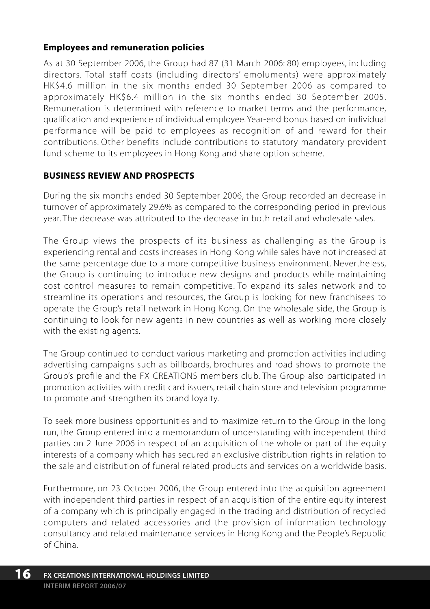## **Employees and remuneration policies**

As at 30 September 2006, the Group had 87 (31 March 2006: 80) employees, including directors. Total staff costs (including directors' emoluments) were approximately HK\$4.6 million in the six months ended 30 September 2006 as compared to approximately HK\$6.4 million in the six months ended 30 September 2005. Remuneration is determined with reference to market terms and the performance, qualification and experience of individual employee. Year-end bonus based on individual performance will be paid to employees as recognition of and reward for their contributions. Other benefits include contributions to statutory mandatory provident fund scheme to its employees in Hong Kong and share option scheme.

# **BUSINESS REVIEW AND PROSPECTS**

During the six months ended 30 September 2006, the Group recorded an decrease in turnover of approximately 29.6% as compared to the corresponding period in previous year. The decrease was attributed to the decrease in both retail and wholesale sales.

The Group views the prospects of its business as challenging as the Group is experiencing rental and costs increases in Hong Kong while sales have not increased at the same percentage due to a more competitive business environment. Nevertheless, the Group is continuing to introduce new designs and products while maintaining cost control measures to remain competitive. To expand its sales network and to streamline its operations and resources, the Group is looking for new franchisees to operate the Group's retail network in Hong Kong. On the wholesale side, the Group is continuing to look for new agents in new countries as well as working more closely with the existing agents.

The Group continued to conduct various marketing and promotion activities including advertising campaigns such as billboards, brochures and road shows to promote the Group's profile and the FX CREATIONS members club. The Group also participated in promotion activities with credit card issuers, retail chain store and television programme to promote and strengthen its brand loyalty.

To seek more business opportunities and to maximize return to the Group in the long run, the Group entered into a memorandum of understanding with independent third parties on 2 June 2006 in respect of an acquisition of the whole or part of the equity interests of a company which has secured an exclusive distribution rights in relation to the sale and distribution of funeral related products and services on a worldwide basis.

Furthermore, on 23 October 2006, the Group entered into the acquisition agreement with independent third parties in respect of an acquisition of the entire equity interest of a company which is principally engaged in the trading and distribution of recycled computers and related accessories and the provision of information technology consultancy and related maintenance services in Hong Kong and the People's Republic of China.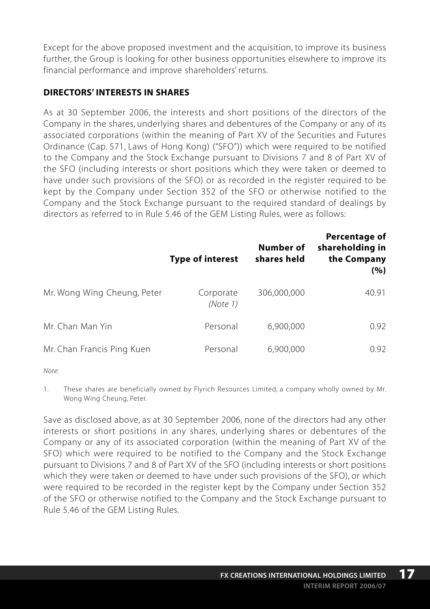Except for the above proposed investment and the acquisition, to improve its business further, the Group is looking for other business opportunities elsewhere to improve its financial performance and improve shareholders' returns.

## **DIRECTORS' INTERESTS IN SHARES**

As at 30 September 2006, the interests and short positions of the directors of the Company in the shares, underlying shares and debentures of the Company or any of its associated corporations (within the meaning of Part XV of the Securities and Futures Ordinance (Cap. 571, Laws of Hong Kong) ("SFO")) which were required to be notified to the Company and the Stock Exchange pursuant to Divisions 7 and 8 of Part XV of the SFO (including interests or short positions which they were taken or deemed to have under such provisions of the SFO) or as recorded in the register required to be kept by the Company under Section 352 of the SFO or otherwise notified to the Company and the Stock Exchange pursuant to the required standard of dealings by directors as referred to in Rule 5.46 of the GEM Listing Rules, were as follows:

|                             | <b>Type of interest</b> | Number of<br>shares held | <b>Percentage of</b><br>shareholding in<br>the Company<br>(%) |
|-----------------------------|-------------------------|--------------------------|---------------------------------------------------------------|
| Mr. Wong Wing Cheung, Peter | Corporate<br>(Note 1)   | 306,000,000              | 40.91                                                         |
| Mr. Chan Man Yin            | Personal                | 6,900,000                | 0.92                                                          |
| Mr. Chan Francis Ping Kuen  | Personal                | 6,900,000                | 0.92                                                          |

*Note:*

1. These shares are beneficially owned by Flyrich Resources Limited, a company wholly owned by Mr. Wong Wing Cheung, Peter.

Save as disclosed above, as at 30 September 2006, none of the directors had any other interests or short positions in any shares, underlying shares or debentures of the Company or any of its associated corporation (within the meaning of Part XV of the SFO) which were required to be notified to the Company and the Stock Exchange pursuant to Divisions 7 and 8 of Part XV of the SFO (including interests or short positions which they were taken or deemed to have under such provisions of the SFO), or which were required to be recorded in the register kept by the Company under Section 352 of the SFO or otherwise notified to the Company and the Stock Exchange pursuant to Rule 5.46 of the GEM Listing Rules.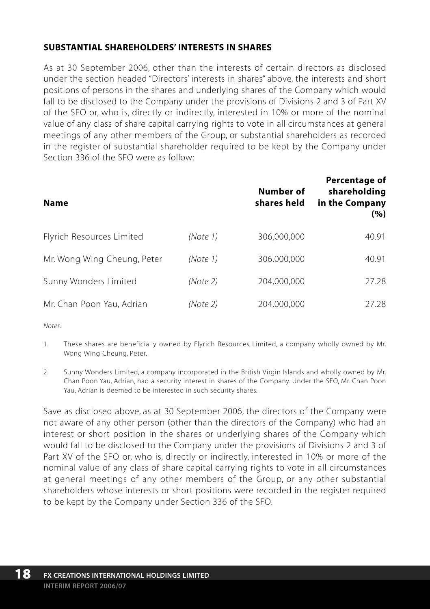# **SUBSTANTIAL SHAREHOLDERS' INTERESTS IN SHARES**

As at 30 September 2006, other than the interests of certain directors as disclosed under the section headed "Directors' interests in shares" above, the interests and short positions of persons in the shares and underlying shares of the Company which would fall to be disclosed to the Company under the provisions of Divisions 2 and 3 of Part XV of the SFO or, who is, directly or indirectly, interested in 10% or more of the nominal value of any class of share capital carrying rights to vote in all circumstances at general meetings of any other members of the Group, or substantial shareholders as recorded in the register of substantial shareholder required to be kept by the Company under Section 336 of the SFO were as follow:

| <b>Name</b>                 |          | Number of<br>shares held | Percentage of<br>shareholding<br>in the Company<br>(%) |
|-----------------------------|----------|--------------------------|--------------------------------------------------------|
| Flyrich Resources Limited   | (Note 1) | 306,000,000              | 40.91                                                  |
| Mr. Wong Wing Cheung, Peter | (Note 1) | 306,000,000              | 40.91                                                  |
| Sunny Wonders Limited       | (Note 2) | 204.000.000              | 27.28                                                  |
| Mr. Chan Poon Yau, Adrian   | (Note 2) | 204,000,000              | 27.28                                                  |

*Notes:*

- 1. These shares are beneficially owned by Flyrich Resources Limited, a company wholly owned by Mr. Wong Wing Cheung, Peter.
- 2. Sunny Wonders Limited, a company incorporated in the British Virgin Islands and wholly owned by Mr. Chan Poon Yau, Adrian, had a security interest in shares of the Company. Under the SFO, Mr. Chan Poon Yau, Adrian is deemed to be interested in such security shares.

Save as disclosed above, as at 30 September 2006, the directors of the Company were not aware of any other person (other than the directors of the Company) who had an interest or short position in the shares or underlying shares of the Company which would fall to be disclosed to the Company under the provisions of Divisions 2 and 3 of Part XV of the SFO or, who is, directly or indirectly, interested in 10% or more of the nominal value of any class of share capital carrying rights to vote in all circumstances at general meetings of any other members of the Group, or any other substantial shareholders whose interests or short positions were recorded in the register required to be kept by the Company under Section 336 of the SFO.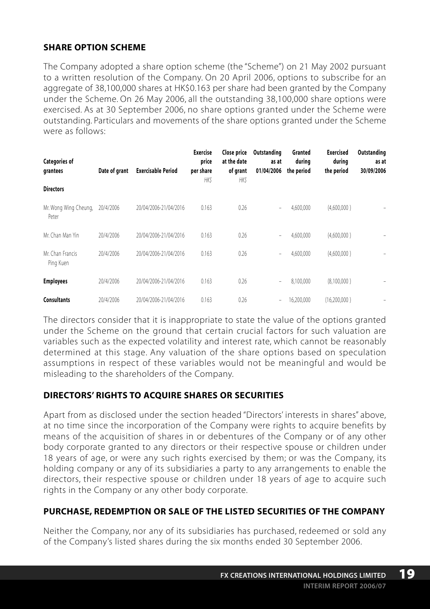# **SHARE OPTION SCHEME**

The Company adopted a share option scheme (the "Scheme") on 21 May 2002 pursuant to a written resolution of the Company. On 20 April 2006, options to subscribe for an aggregate of 38,100,000 shares at HK\$0.163 per share had been granted by the Company under the Scheme. On 26 May 2006, all the outstanding 38,100,000 share options were exercised. As at 30 September 2006, no share options granted under the Scheme were outstanding. Particulars and movements of the share options granted under the Scheme were as follows:

| <b>Categories of</b><br>grantees | Date of grant | <b>Exercisable Period</b> | <b>Exercise</b><br>price<br>per share<br><b>HKS</b> | Close price<br>at the date<br>of grant<br>HK\$ | Outstanding<br>as at<br>01/04/2006 | Granted<br>during<br>the period | <b>Exercised</b><br>during<br>the period | Outstanding<br>as at<br>30/09/2006 |
|----------------------------------|---------------|---------------------------|-----------------------------------------------------|------------------------------------------------|------------------------------------|---------------------------------|------------------------------------------|------------------------------------|
| <b>Directors</b>                 |               |                           |                                                     |                                                |                                    |                                 |                                          |                                    |
| Mr. Wong Wing Cheung,<br>Peter   | 20/4/2006     | 20/04/2006-21/04/2016     | 0.163                                               | 0.26                                           | ۰                                  | 4.600.000                       | (4.600.000)                              |                                    |
| Mr. Chan Man Yin                 | 20/4/2006     | 20/04/2006-21/04/2016     | 0.163                                               | 0.26                                           | ٠                                  | 4,600,000                       | (4,600,000)                              |                                    |
| Mr. Chan Francis<br>Ping Kuen    | 20/4/2006     | 20/04/2006-21/04/2016     | 0.163                                               | 0.26                                           | $\overline{\phantom{0}}$           | 4.600.000                       | (4.600.000)                              |                                    |
| <b>Employees</b>                 | 20/4/2006     | 20/04/2006-21/04/2016     | 0.163                                               | 0.26                                           | $\overline{\phantom{0}}$           | 8.100.000                       | (8,100,000)                              |                                    |
| <b>Consultants</b>               | 20/4/2006     | 20/04/2006-21/04/2016     | 0.163                                               | 0.26                                           | $\overline{\phantom{0}}$           | 16.200.000                      | (16.200.000)                             |                                    |

The directors consider that it is inappropriate to state the value of the options granted under the Scheme on the ground that certain crucial factors for such valuation are variables such as the expected volatility and interest rate, which cannot be reasonably determined at this stage. Any valuation of the share options based on speculation assumptions in respect of these variables would not be meaningful and would be misleading to the shareholders of the Company.

# **DIRECTORS' RIGHTS TO ACQUIRE SHARES OR SECURITIES**

Apart from as disclosed under the section headed "Directors' interests in shares" above, at no time since the incorporation of the Company were rights to acquire benefits by means of the acquisition of shares in or debentures of the Company or of any other body corporate granted to any directors or their respective spouse or children under 18 years of age, or were any such rights exercised by them; or was the Company, its holding company or any of its subsidiaries a party to any arrangements to enable the directors, their respective spouse or children under 18 years of age to acquire such rights in the Company or any other body corporate.

# **PURCHASE, REDEMPTION OR SALE OF THE LISTED SECURITIES OF THE COMPANY**

Neither the Company, nor any of its subsidiaries has purchased, redeemed or sold any of the Company's listed shares during the six months ended 30 September 2006.